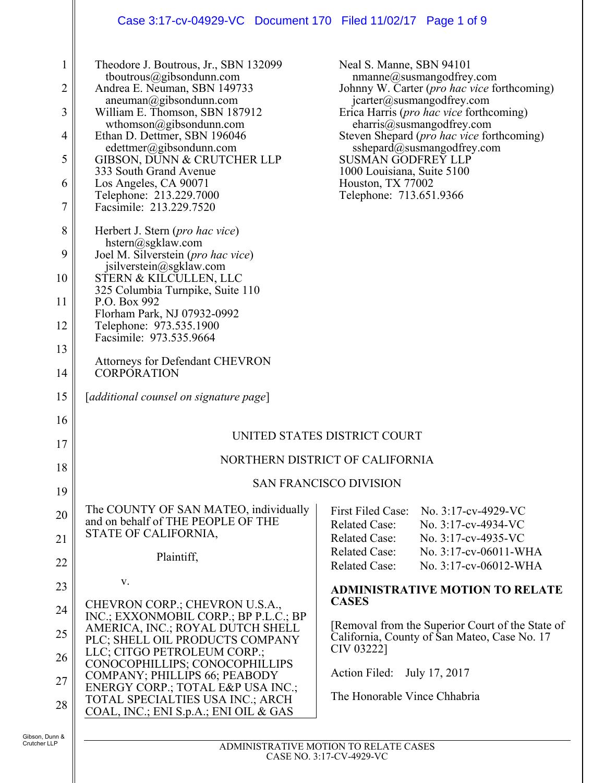# Case 3:17-cv-04929-VC Document 170 Filed 11/02/17 Page 1 of 9

| $\mathbf 1$                    | Theodore J. Boutrous, Jr., SBN 132099<br>tboutrous@gibsondunn.com                         | Neal S. Manne, SBN 94101                         | $n$ manne@susmangodfrey.com                                                                                               |
|--------------------------------|-------------------------------------------------------------------------------------------|--------------------------------------------------|---------------------------------------------------------------------------------------------------------------------------|
| $\overline{c}$                 | Andrea E. Neuman, SBN 149733<br>aneuman@gibsondunn.com                                    |                                                  | Johnny W. Carter (pro hac vice forthcoming)<br>icarter@susmangodfrey.com                                                  |
| 3<br>4                         | William E. Thomson, SBN 187912<br>wthomson@gibsondunn.com<br>Ethan D. Dettmer, SBN 196046 |                                                  | Erica Harris (pro hac vice forthcoming)<br>eharris@susmangodfrey.com<br>Steven Shepard ( <i>pro hac vice</i> forthcoming) |
| 5                              | edettmer@gibsondunn.com<br>GIBSON, DUNN & CRUTCHER LLP                                    | <b>SUSMAN GODFREY LLP</b>                        | sshepard@susmangodfrey.com                                                                                                |
| 6                              | 333 South Grand Avenue<br>Los Angeles, CA 90071                                           | 1000 Louisiana, Suite 5100<br>Houston, TX 77002  |                                                                                                                           |
| 7                              | Telephone: 213.229.7000<br>Facsimile: 213.229.7520                                        | Telephone: 713.651.9366                          |                                                                                                                           |
| 8                              | Herbert J. Stern ( <i>pro hac vice</i> )<br>hstern@sgklaw.com                             |                                                  |                                                                                                                           |
| 9                              | Joel M. Silverstein (pro hac vice)<br>jsilverstein@sgklaw.com                             |                                                  |                                                                                                                           |
| 10                             | STERN & KILCULLEN, LLC<br>325 Columbia Turnpike, Suite 110                                |                                                  |                                                                                                                           |
| 11                             | P.O. Box 992<br>Florham Park, NJ 07932-0992                                               |                                                  |                                                                                                                           |
| 12                             | Telephone: 973.535.1900<br>Facsimile: 973.535.9664                                        |                                                  |                                                                                                                           |
| 13                             | <b>Attorneys for Defendant CHEVRON</b>                                                    |                                                  |                                                                                                                           |
| 14                             | <b>CORPORATION</b>                                                                        |                                                  |                                                                                                                           |
| 15                             | [additional counsel on signature page]                                                    |                                                  |                                                                                                                           |
| 16                             |                                                                                           |                                                  |                                                                                                                           |
| 17                             | UNITED STATES DISTRICT COURT                                                              |                                                  |                                                                                                                           |
| 18                             | NORTHERN DISTRICT OF CALIFORNIA                                                           |                                                  |                                                                                                                           |
| 19                             | <b>SAN FRANCISCO DIVISION</b>                                                             |                                                  |                                                                                                                           |
| 20                             | The COUNTY OF SAN MATEO, individually<br>and on behalf of THE PEOPLE OF THE               | <b>First Filed Case:</b><br><b>Related Case:</b> | No. 3:17-cv-4929-VC                                                                                                       |
| 21                             | STATE OF CALIFORNIA,                                                                      | <b>Related Case:</b>                             | No. 3:17-cv-4934-VC<br>No. 3:17-cv-4935-VC                                                                                |
| 22                             | Plaintiff,                                                                                | <b>Related Case:</b><br><b>Related Case:</b>     | No. 3:17-cv-06011-WHA<br>No. 3:17-cv-06012-WHA                                                                            |
| 23                             | V.                                                                                        |                                                  | <b>ADMINISTRATIVE MOTION TO RELATE</b>                                                                                    |
| 24                             | CHEVRON CORP.; CHEVRON U.S.A.,<br>INC.; EXXONMOBIL CORP.; BP P.L.C.; BP                   | <b>CASES</b>                                     |                                                                                                                           |
| 25                             | AMERICA, INC.; ROYAL DUTCH SHELL<br>PLC; SHELL OIL PRODUCTS COMPANY                       | CIV 03222]                                       | [Removal from the Superior Court of the State of<br>California, County of San Mateo, Case No. 17                          |
| 26                             | LLC; CITGO PETROLEUM CORP.;<br>CONOCOPHILLIPS; CONOCOPHILLIPS                             |                                                  |                                                                                                                           |
| 27                             | COMPANY; PHILLIPS 66; PEABODY<br>ENERGY CORP.; TOTAL E&P USA INC.;                        | Action Filed:                                    | July 17, 2017                                                                                                             |
| 28                             | TOTAL SPECIALTIES USA INC.; ARCH<br>COAL, INC.; ENI S.p.A.; ENI OIL & GAS                 | The Honorable Vince Chhabria                     |                                                                                                                           |
| Gibson, Dunn &<br>Crutcher LLP |                                                                                           |                                                  |                                                                                                                           |
|                                | ADMINISTRATIVE MOTION TO RELATE CASES                                                     |                                                  |                                                                                                                           |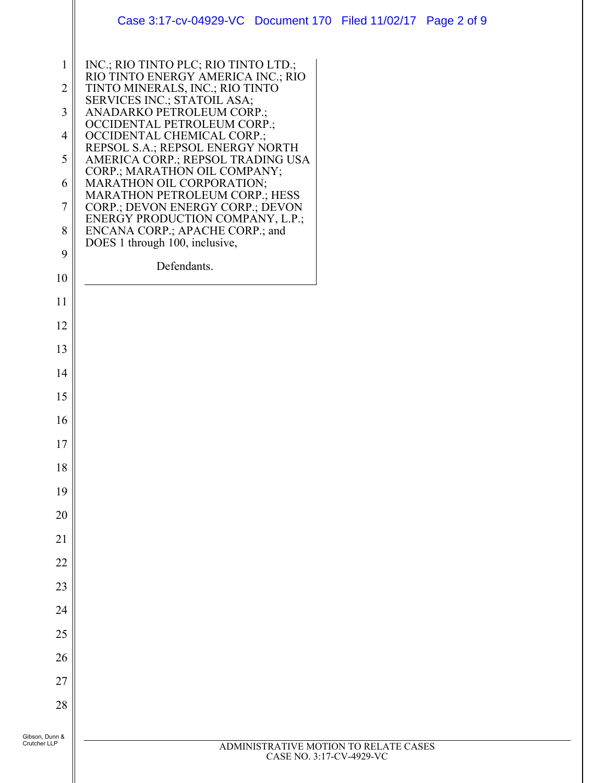|                | Case 3:17-cv-04929-VC Document 170 Filed 11/02/17 Page 2 of 9                                      |
|----------------|----------------------------------------------------------------------------------------------------|
| 1              | INC.; RIO TINTO PLC; RIO TINTO LTD.;                                                               |
| $\overline{2}$ | RIO TINTO ENERGY AMERICA INC.; RIO<br>TINTO MINERALS, INC.; RIO TINTO                              |
| 3              | SERVICES INC.; STATOIL ASA;<br>ANADARKO PETROLEUM CORP.;                                           |
| 4              | OCCIDENTAL PETROLEUM CORP.;<br>OCCIDENTAL CHEMICAL CORP.;                                          |
| 5              | REPSOL S.A.; REPSOL ENERGY NORTH<br>AMERICA CORP.; REPSOL TRADING USA                              |
| 6              | CORP.; MARATHON OIL COMPANY;<br>MARATHON OIL CORPORATION;<br><b>MARATHON PETROLEUM CORP.; HESS</b> |
| $\tau$         | CORP.; DEVON ENERGY CORP.; DEVON<br>ENERGY PRODUCTION COMPANY, L.P.;                               |
| 8              | ENCANA CORP.; APACHE CORP.; and<br>DOES 1 through 100, inclusive,                                  |
| 9              | Defendants.                                                                                        |
| 10             |                                                                                                    |
| 11             |                                                                                                    |
| 12             |                                                                                                    |
| 13             |                                                                                                    |
| 14             |                                                                                                    |
| 15             |                                                                                                    |
| 16             |                                                                                                    |
| 17             |                                                                                                    |
| 18<br>19       |                                                                                                    |
| 20             |                                                                                                    |
| 21             |                                                                                                    |
| 22             |                                                                                                    |
| 23             |                                                                                                    |
| 24             |                                                                                                    |
| 25             |                                                                                                    |
| 26             |                                                                                                    |
| 27             |                                                                                                    |
| 28             |                                                                                                    |
| unn &          |                                                                                                    |
| LP.            | ADMINISTRATIVE MOTION TO RELATE CASES                                                              |

Ι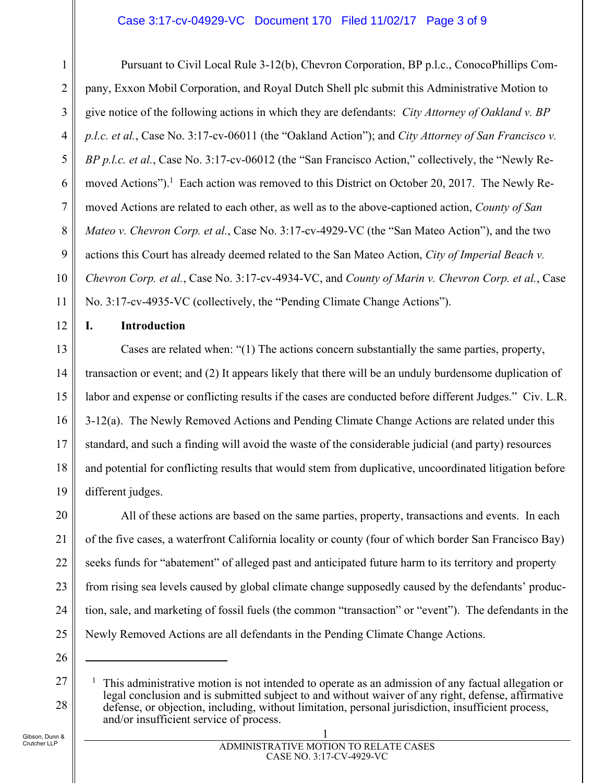#### Case 3:17-cv-04929-VC Document 170 Filed 11/02/17 Page 3 of 9

2 3 4 5 6 7 8 9 10 Pursuant to Civil Local Rule 3-12(b), Chevron Corporation, BP p.l.c., ConocoPhillips Company, Exxon Mobil Corporation, and Royal Dutch Shell plc submit this Administrative Motion to give notice of the following actions in which they are defendants: *City Attorney of Oakland v. BP p.l.c. et al.*, Case No. 3:17-cv-06011 (the "Oakland Action"); and *City Attorney of San Francisco v. BP p.l.c. et al.*, Case No. 3:17-cv-06012 (the "San Francisco Action," collectively, the "Newly Removed Actions").<sup>1</sup> Each action was removed to this District on October 20, 2017. The Newly Removed Actions are related to each other, as well as to the above-captioned action, *County of San Mateo v. Chevron Corp. et al.*, Case No. 3:17-cv-4929-VC (the "San Mateo Action"), and the two actions this Court has already deemed related to the San Mateo Action, *City of Imperial Beach v. Chevron Corp. et al.*, Case No. 3:17-cv-4934-VC, and *County of Marin v. Chevron Corp. et al.*, Case No. 3:17-cv-4935-VC (collectively, the "Pending Climate Change Actions").

12

11

1

## **I. Introduction**

13 14 15 16 17 18 19 Cases are related when: "(1) The actions concern substantially the same parties, property, transaction or event; and (2) It appears likely that there will be an unduly burdensome duplication of labor and expense or conflicting results if the cases are conducted before different Judges." Civ. L.R. 3-12(a). The Newly Removed Actions and Pending Climate Change Actions are related under this standard, and such a finding will avoid the waste of the considerable judicial (and party) resources and potential for conflicting results that would stem from duplicative, uncoordinated litigation before different judges.

20 21 22 23 24 25 All of these actions are based on the same parties, property, transactions and events. In each of the five cases, a waterfront California locality or county (four of which border San Francisco Bay) seeks funds for "abatement" of alleged past and anticipated future harm to its territory and property from rising sea levels caused by global climate change supposedly caused by the defendants' production, sale, and marketing of fossil fuels (the common "transaction" or "event"). The defendants in the Newly Removed Actions are all defendants in the Pending Climate Change Actions.

 $\overline{a}$ 

27

28

#### 1 ADMINISTRATIVE MOTION TO RELATE CASES CASE NO. 3:17-CV-4929-VC

<sup>26</sup>

<sup>1</sup> This administrative motion is not intended to operate as an admission of any factual allegation or legal conclusion and is submitted subject to and without waiver of any right, defense, affirmative defense, or objection, including, without limitation, personal jurisdiction, insufficient process, and/or insufficient service of process.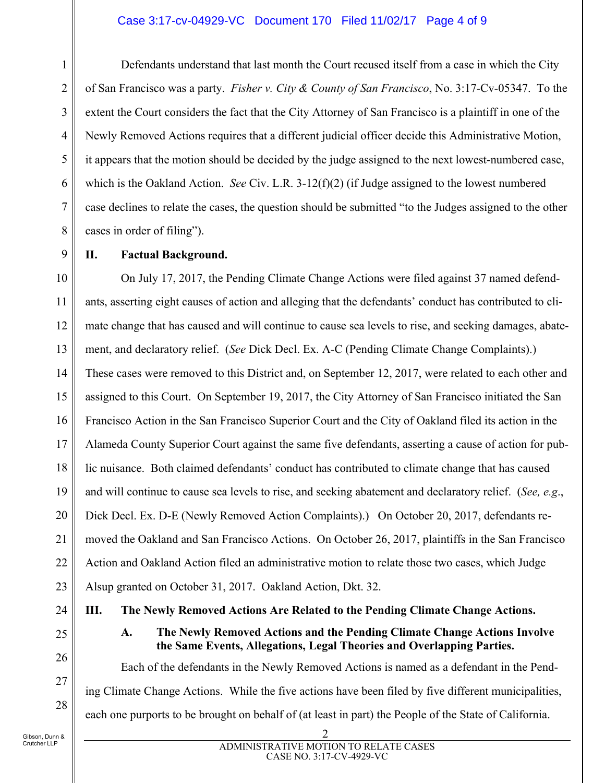#### Case 3:17-cv-04929-VC Document 170 Filed 11/02/17 Page 4 of 9

Defendants understand that last month the Court recused itself from a case in which the City of San Francisco was a party. *Fisher v. City & County of San Francisco*, No. 3:17-Cv-05347. To the extent the Court considers the fact that the City Attorney of San Francisco is a plaintiff in one of the Newly Removed Actions requires that a different judicial officer decide this Administrative Motion, it appears that the motion should be decided by the judge assigned to the next lowest-numbered case, which is the Oakland Action. *See* Civ. L.R. 3-12(f)(2) (if Judge assigned to the lowest numbered case declines to relate the cases, the question should be submitted "to the Judges assigned to the other cases in order of filing").

**II. Factual Background.** 

10 11 12 13 14 15 16 17 18 19 20 21 22 23 On July 17, 2017, the Pending Climate Change Actions were filed against 37 named defendants, asserting eight causes of action and alleging that the defendants' conduct has contributed to climate change that has caused and will continue to cause sea levels to rise, and seeking damages, abatement, and declaratory relief. (*See* Dick Decl. Ex. A-C (Pending Climate Change Complaints).) These cases were removed to this District and, on September 12, 2017, were related to each other and assigned to this Court. On September 19, 2017, the City Attorney of San Francisco initiated the San Francisco Action in the San Francisco Superior Court and the City of Oakland filed its action in the Alameda County Superior Court against the same five defendants, asserting a cause of action for public nuisance. Both claimed defendants' conduct has contributed to climate change that has caused and will continue to cause sea levels to rise, and seeking abatement and declaratory relief. (*See, e.g*., Dick Decl. Ex. D-E (Newly Removed Action Complaints).) On October 20, 2017, defendants removed the Oakland and San Francisco Actions. On October 26, 2017, plaintiffs in the San Francisco Action and Oakland Action filed an administrative motion to relate those two cases, which Judge Alsup granted on October 31, 2017. Oakland Action, Dkt. 32.

24

1

2

3

4

5

6

7

8

9

25 26

27

28

**A. The Newly Removed Actions and the Pending Climate Change Actions Involve the Same Events, Allegations, Legal Theories and Overlapping Parties.** 

Each of the defendants in the Newly Removed Actions is named as a defendant in the Pending Climate Change Actions. While the five actions have been filed by five different municipalities, each one purports to be brought on behalf of (at least in part) the People of the State of California.

**III. The Newly Removed Actions Are Related to the Pending Climate Change Actions.** 

Gibson, Dunn & Crutcher LLP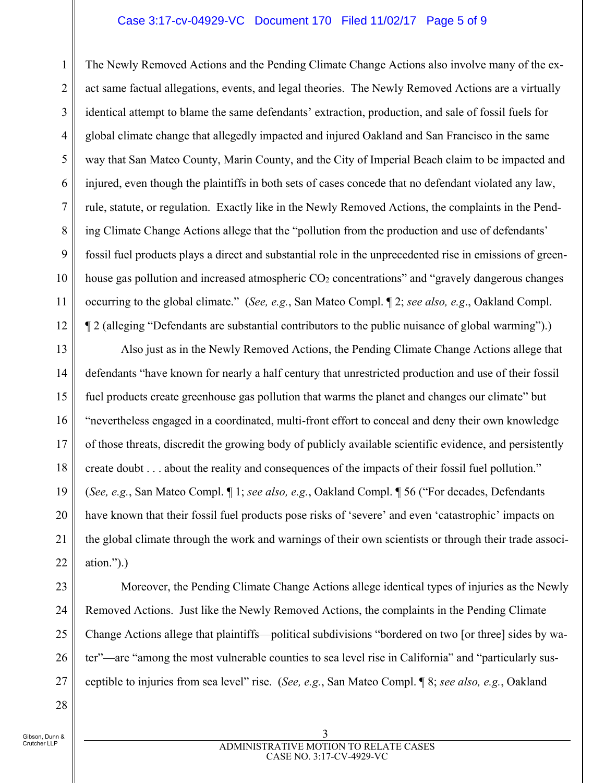#### Case 3:17-cv-04929-VC Document 170 Filed 11/02/17 Page 5 of 9

1 2 3 4 5 6 7 8 9 10 11 12 The Newly Removed Actions and the Pending Climate Change Actions also involve many of the exact same factual allegations, events, and legal theories. The Newly Removed Actions are a virtually identical attempt to blame the same defendants' extraction, production, and sale of fossil fuels for global climate change that allegedly impacted and injured Oakland and San Francisco in the same way that San Mateo County, Marin County, and the City of Imperial Beach claim to be impacted and injured, even though the plaintiffs in both sets of cases concede that no defendant violated any law, rule, statute, or regulation. Exactly like in the Newly Removed Actions, the complaints in the Pending Climate Change Actions allege that the "pollution from the production and use of defendants' fossil fuel products plays a direct and substantial role in the unprecedented rise in emissions of greenhouse gas pollution and increased atmospheric CO<sub>2</sub> concentrations" and "gravely dangerous changes" occurring to the global climate." (*See, e.g.*, San Mateo Compl. ¶ 2; *see also, e.g*., Oakland Compl. ¶ 2 (alleging "Defendants are substantial contributors to the public nuisance of global warming").)

13 14 15 16 17 18 19 20 21 22 Also just as in the Newly Removed Actions, the Pending Climate Change Actions allege that defendants "have known for nearly a half century that unrestricted production and use of their fossil fuel products create greenhouse gas pollution that warms the planet and changes our climate" but "nevertheless engaged in a coordinated, multi-front effort to conceal and deny their own knowledge of those threats, discredit the growing body of publicly available scientific evidence, and persistently create doubt . . . about the reality and consequences of the impacts of their fossil fuel pollution." (*See, e.g.*, San Mateo Compl. ¶ 1; *see also, e.g.*, Oakland Compl. ¶ 56 ("For decades, Defendants have known that their fossil fuel products pose risks of 'severe' and even 'catastrophic' impacts on the global climate through the work and warnings of their own scientists or through their trade association.").)

23 24 25

26

27

28

Moreover, the Pending Climate Change Actions allege identical types of injuries as the Newly Removed Actions. Just like the Newly Removed Actions, the complaints in the Pending Climate Change Actions allege that plaintiffs—political subdivisions "bordered on two [or three] sides by water"—are "among the most vulnerable counties to sea level rise in California" and "particularly susceptible to injuries from sea level" rise. (*See, e.g.*, San Mateo Compl. ¶ 8; *see also, e.g.*, Oakland

Gibson, Dunn & Crutcher LLP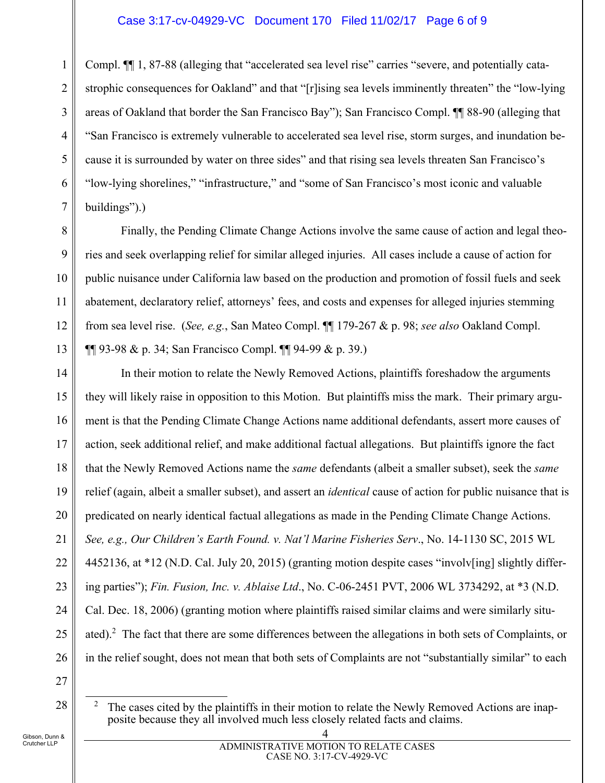#### Case 3:17-cv-04929-VC Document 170 Filed 11/02/17 Page 6 of 9

1 2 3 4 5 6 7 Compl. ¶¶ 1, 87-88 (alleging that "accelerated sea level rise" carries "severe, and potentially catastrophic consequences for Oakland" and that "[r]ising sea levels imminently threaten" the "low-lying areas of Oakland that border the San Francisco Bay"); San Francisco Compl. ¶¶ 88-90 (alleging that "San Francisco is extremely vulnerable to accelerated sea level rise, storm surges, and inundation because it is surrounded by water on three sides" and that rising sea levels threaten San Francisco's "low-lying shorelines," "infrastructure," and "some of San Francisco's most iconic and valuable buildings").)

Finally, the Pending Climate Change Actions involve the same cause of action and legal theories and seek overlapping relief for similar alleged injuries. All cases include a cause of action for public nuisance under California law based on the production and promotion of fossil fuels and seek abatement, declaratory relief, attorneys' fees, and costs and expenses for alleged injuries stemming from sea level rise. (*See, e.g.*, San Mateo Compl. ¶¶ 179-267 & p. 98; *see also* Oakland Compl. ¶¶ 93-98 & p. 34; San Francisco Compl. ¶¶ 94-99 & p. 39.)

14 15 16 17 18 19 20 21 22 23 24 25 26 In their motion to relate the Newly Removed Actions, plaintiffs foreshadow the arguments they will likely raise in opposition to this Motion. But plaintiffs miss the mark. Their primary argument is that the Pending Climate Change Actions name additional defendants, assert more causes of action, seek additional relief, and make additional factual allegations. But plaintiffs ignore the fact that the Newly Removed Actions name the *same* defendants (albeit a smaller subset), seek the *same* relief (again, albeit a smaller subset), and assert an *identical* cause of action for public nuisance that is predicated on nearly identical factual allegations as made in the Pending Climate Change Actions. *See, e.g., Our Children's Earth Found. v. Nat'l Marine Fisheries Serv*., No. 14-1130 SC, 2015 WL 4452136, at \*12 (N.D. Cal. July 20, 2015) (granting motion despite cases "involv[ing] slightly differing parties"); *Fin. Fusion, Inc. v. Ablaise Ltd*., No. C-06-2451 PVT, 2006 WL 3734292, at \*3 (N.D. Cal. Dec. 18, 2006) (granting motion where plaintiffs raised similar claims and were similarly situated).<sup>2</sup> The fact that there are some differences between the allegations in both sets of Complaints, or in the relief sought, does not mean that both sets of Complaints are not "substantially similar" to each

27

28

8

9

10

11

12

13

The cases cited by the plaintiffs in their motion to relate the Newly Removed Actions are inapposite because they all involved much less closely related facts and claims.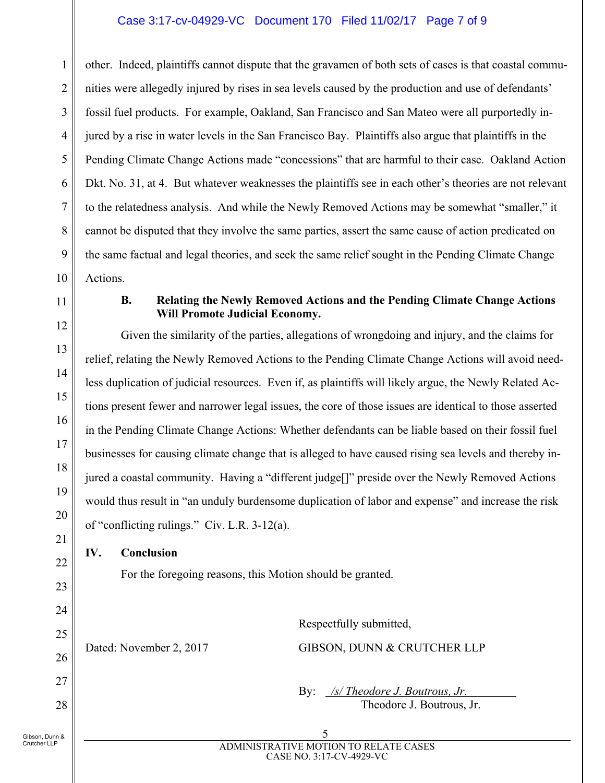## Case 3:17-cv-04929-VC Document 170 Filed 11/02/17 Page 7 of 9

1 2 3 4 5 other. Indeed, plaintiffs cannot dispute that the gravamen of both sets of cases is that coastal communities were allegedly injured by rises in sea levels caused by the production and use of defendants' fossil fuel products. For example, Oakland, San Francisco and San Mateo were all purportedly injured by a rise in water levels in the San Francisco Bay. Plaintiffs also argue that plaintiffs in the Pending Climate Change Actions made "concessions" that are harmful to their case. Oakland Action Dkt. No. 31, at 4. But whatever weaknesses the plaintiffs see in each other's theories are not relevant to the relatedness analysis. And while the Newly Removed Actions may be somewhat "smaller," it cannot be disputed that they involve the same parties, assert the same cause of action predicated on the same factual and legal theories, and seek the same relief sought in the Pending Climate Change Actions.

#### **B. Relating the Newly Removed Actions and the Pending Climate Change Actions Will Promote Judicial Economy.**

Given the similarity of the parties, allegations of wrongdoing and injury, and the claims for relief, relating the Newly Removed Actions to the Pending Climate Change Actions will avoid needless duplication of judicial resources. Even if, as plaintiffs will likely argue, the Newly Related Actions present fewer and narrower legal issues, the core of those issues are identical to those asserted in the Pending Climate Change Actions: Whether defendants can be liable based on their fossil fuel businesses for causing climate change that is alleged to have caused rising sea levels and thereby injured a coastal community. Having a "different judge[]" preside over the Newly Removed Actions would thus result in "an unduly burdensome duplication of labor and expense" and increase the risk of "conflicting rulings." Civ. L.R. 3-12(a).

## **IV. Conclusion**

For the foregoing reasons, this Motion should be granted.

Respectfully submitted, Dated: November 2, 2017 GIBSON, DUNN & CRUTCHER LLP

> By: */s/ Theodore J. Boutrous, Jr.* Theodore J. Boutrous, Jr.

 5 ADMINISTRATIVE MOTION TO RELATE CASES CASE NO. 3:17-CV-4929-VC

Gibson, Dunn & Crutcher LLP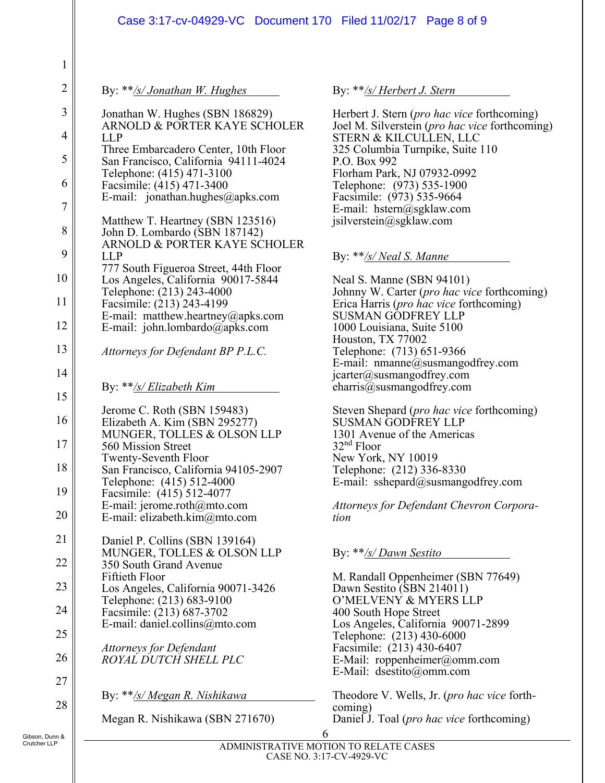|                | Case 3:17-cv-04929-VC Document 170 Filed 11/02/17 Page 8 of 9                |                                                                                                |  |  |
|----------------|------------------------------------------------------------------------------|------------------------------------------------------------------------------------------------|--|--|
| $\mathbf{1}$   |                                                                              |                                                                                                |  |  |
| $\overline{2}$ | By: $**/s/Jonathan W. Hughes$                                                | By: **/s/ Herbert J. Stern                                                                     |  |  |
| 3              | Jonathan W. Hughes (SBN 186829)<br>ARNOLD & PORTER KAYE SCHOLER              | Herbert J. Stern (pro hac vice forthcoming)                                                    |  |  |
| 4              | <b>LLP</b>                                                                   | Joel M. Silverstein (pro hac vice forthcoming)<br>STERN & KILCULLEN, LLC                       |  |  |
| 5              | Three Embarcadero Center, 10th Floor<br>San Francisco, California 94111-4024 | 325 Columbia Turnpike, Suite 110<br>P.O. Box 992                                               |  |  |
| 6              | Telephone: (415) 471-3100<br>Facsimile: (415) 471-3400                       | Florham Park, NJ 07932-0992<br>Telephone: (973) 535-1900                                       |  |  |
| 7              | E-mail: jonathan.hughes@apks.com                                             | Facsimile: (973) 535-9664<br>E-mail: hstern@sgklaw.com                                         |  |  |
| 8              | Matthew T. Heartney (SBN 123516)<br>John D. Lombardo (SBN 187142)            | jsilverstein@sgklaw.com                                                                        |  |  |
| 9              | ARNOLD & PORTER KAYE SCHOLER<br><b>LLP</b>                                   | By: $**$ /s/ Neal S. Manne                                                                     |  |  |
| 10             | 777 South Figueroa Street, 44th Floor<br>Los Angeles, California 90017-5844  | Neal S. Manne (SBN 94101)                                                                      |  |  |
| 11             | Telephone: (213) 243-4000<br>Facsimile: (213) 243-4199                       | Johnny W. Carter (pro hac vice forthcoming)<br>Erica Harris ( <i>pro hac vice</i> forthcoming) |  |  |
| 12             | E-mail: matthew.heartney@apks.com<br>E-mail: john.lombardo@apks.com          | <b>SUSMAN GODFREY LLP</b><br>1000 Louisiana, Suite 5100                                        |  |  |
| 13             | Attorneys for Defendant BP P.L.C.                                            | Houston, TX 77002<br>Telephone: (713) 651-9366<br>E-mail: nmanne@susmangodfrey.com             |  |  |
| 14             | By: $**$ /s/ Elizabeth Kim                                                   | jcarter@susmangodfrey.com<br>charris@susmangodfrey.com                                         |  |  |
| 15             | Jerome C. Roth (SBN 159483)                                                  | Steven Shepard (pro hac vice forthcoming)                                                      |  |  |
| 16             | Elizabeth A. Kim (SBN 295277)<br>MUNGER, TOLLES & OLSON LLP                  | <b>SUSMAN GODFREY LLP</b><br>1301 Avenue of the Americas                                       |  |  |
| 17             | 560 Mission Street                                                           | $32nd$ Floor                                                                                   |  |  |
| 18             | Twenty-Seventh Floor<br>San Francisco, California 94105-2907                 | New York, NY 10019<br>Telephone: (212) 336-8330                                                |  |  |
| 19             | Telephone: (415) 512-4000<br>Facsimile: (415) 512-4077                       | E-mail: sshepard@susmangodfrey.com                                                             |  |  |
| 20             | E-mail: jerome.roth $@$ mto.com<br>E-mail: elizabeth.kim@mto.com             | Attorneys for Defendant Chevron Corpora-<br>tion                                               |  |  |
| 21             | Daniel P. Collins (SBN 139164)<br>MUNGER, TOLLES & OLSON LLP                 | By: **/s/ Dawn Sestito                                                                         |  |  |
| 22             | 350 South Grand Avenue                                                       |                                                                                                |  |  |
| 23             | Fiftieth Floor<br>Los Angeles, California 90071-3426                         | M. Randall Oppenheimer (SBN 77649)<br>Dawn Sestito (SBN 214011)                                |  |  |
| 24             | Telephone: (213) 683-9100<br>Facsimile: (213) 687-3702                       | O'MELVENY & MYERS LLP<br>400 South Hope Street                                                 |  |  |
| 25             | E-mail: daniel.collins@mto.com                                               | Los Angeles, California 90071-2899<br>Telephone: (213) 430-6000                                |  |  |
| 26             | <b>Attorneys for Defendant</b><br>ROYAL DUTCH SHELL PLC                      | Facsimile: (213) 430-6407<br>E-Mail: roppenheimer@omm.com                                      |  |  |
| 27             |                                                                              | E-Mail: dsestito@omm.com                                                                       |  |  |
| 28             | By: **/s/ Megan R. Nishikawa                                                 | Theodore V. Wells, Jr. (pro hac vice forth-<br>coming)                                         |  |  |
| Dunn &         | Megan R. Nishikawa (SBN 271670)                                              | Daniel J. Toal (pro hac vice forthcoming)<br>6                                                 |  |  |